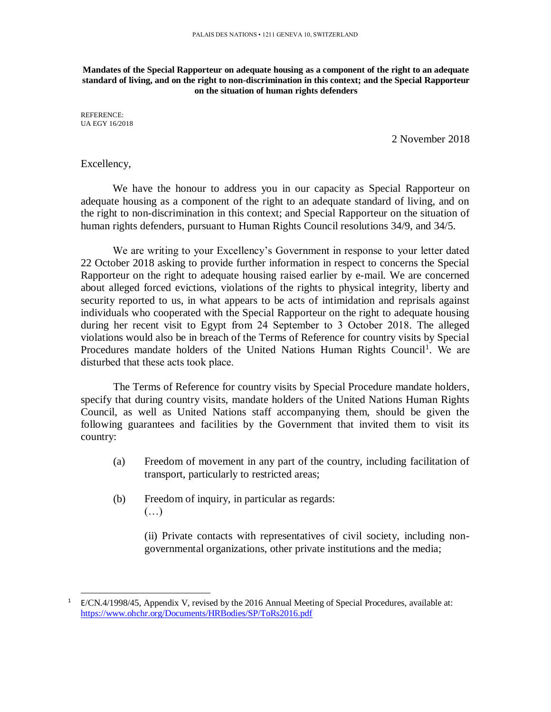**Mandates of the Special Rapporteur on adequate housing as a component of the right to an adequate standard of living, and on the right to non-discrimination in this context; and the Special Rapporteur on the situation of human rights defenders**

REFERENCE: UA EGY 16/2018

2 November 2018

## Excellency,

l

We have the honour to address you in our capacity as Special Rapporteur on adequate housing as a component of the right to an adequate standard of living, and on the right to non-discrimination in this context; and Special Rapporteur on the situation of human rights defenders, pursuant to Human Rights Council resolutions 34/9, and 34/5.

We are writing to your Excellency's Government in response to your letter dated 22 October 2018 asking to provide further information in respect to concerns the Special Rapporteur on the right to adequate housing raised earlier by e-mail. We are concerned about alleged forced evictions, violations of the rights to physical integrity, liberty and security reported to us, in what appears to be acts of intimidation and reprisals against individuals who cooperated with the Special Rapporteur on the right to adequate housing during her recent visit to Egypt from 24 September to 3 October 2018. The alleged violations would also be in breach of the Terms of Reference for country visits by Special Procedures mandate holders of the United Nations Human Rights Council<sup>1</sup>. We are disturbed that these acts took place.

The Terms of Reference for country visits by Special Procedure mandate holders, specify that during country visits, mandate holders of the United Nations Human Rights Council, as well as United Nations staff accompanying them, should be given the following guarantees and facilities by the Government that invited them to visit its country:

- (a) Freedom of movement in any part of the country, including facilitation of transport, particularly to restricted areas;
- (b) Freedom of inquiry, in particular as regards:  $(\ldots)$

(ii) Private contacts with representatives of civil society, including nongovernmental organizations, other private institutions and the media;

<sup>&</sup>lt;sup>1</sup> E/CN.4/1998/45, Appendix V, revised by the 2016 Annual Meeting of Special Procedures, available at: <https://www.ohchr.org/Documents/HRBodies/SP/ToRs2016.pdf>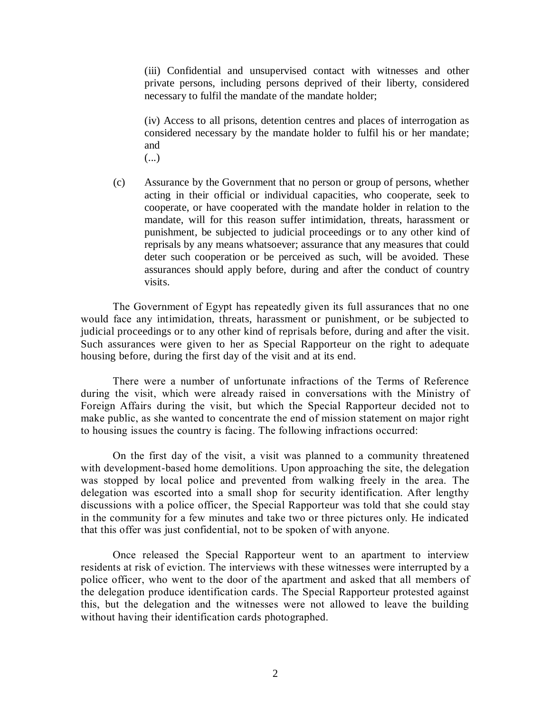(iii) Confidential and unsupervised contact with witnesses and other private persons, including persons deprived of their liberty, considered necessary to fulfil the mandate of the mandate holder;

(iv) Access to all prisons, detention centres and places of interrogation as considered necessary by the mandate holder to fulfil his or her mandate; and (...)

(c) Assurance by the Government that no person or group of persons, whether acting in their official or individual capacities, who cooperate, seek to cooperate, or have cooperated with the mandate holder in relation to the mandate, will for this reason suffer intimidation, threats, harassment or punishment, be subjected to judicial proceedings or to any other kind of reprisals by any means whatsoever; assurance that any measures that could deter such cooperation or be perceived as such, will be avoided. These assurances should apply before, during and after the conduct of country visits.

The Government of Egypt has repeatedly given its full assurances that no one would face any intimidation, threats, harassment or punishment, or be subjected to judicial proceedings or to any other kind of reprisals before, during and after the visit. Such assurances were given to her as Special Rapporteur on the right to adequate housing before, during the first day of the visit and at its end.

There were a number of unfortunate infractions of the Terms of Reference during the visit, which were already raised in conversations with the Ministry of Foreign Affairs during the visit, but which the Special Rapporteur decided not to make public, as she wanted to concentrate the end of mission statement on major right to housing issues the country is facing. The following infractions occurred:

On the first day of the visit, a visit was planned to a community threatened with development-based home demolitions. Upon approaching the site, the delegation was stopped by local police and prevented from walking freely in the area. The delegation was escorted into a small shop for security identification. After lengthy discussions with a police officer, the Special Rapporteur was told that she could stay in the community for a few minutes and take two or three pictures only. He indicated that this offer was just confidential, not to be spoken of with anyone.

Once released the Special Rapporteur went to an apartment to interview residents at risk of eviction. The interviews with these witnesses were interrupted by a police officer, who went to the door of the apartment and asked that all members of the delegation produce identification cards. The Special Rapporteur protested against this, but the delegation and the witnesses were not allowed to leave the building without having their identification cards photographed.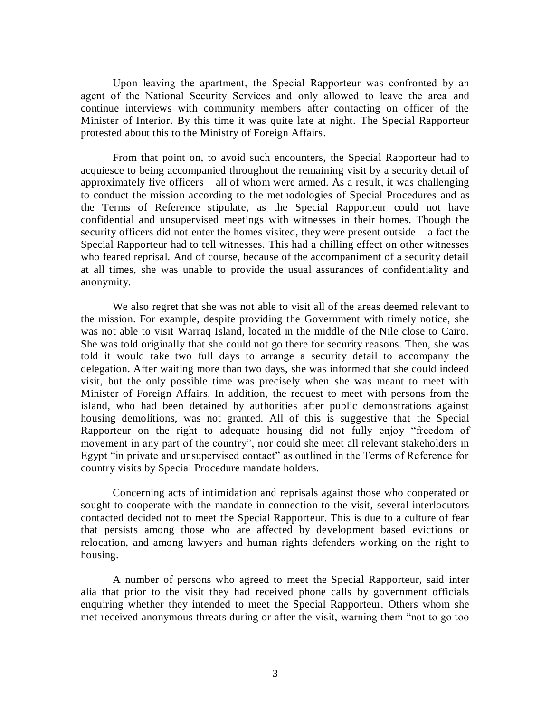Upon leaving the apartment, the Special Rapporteur was confronted by an agent of the National Security Services and only allowed to leave the area and continue interviews with community members after contacting on officer of the Minister of Interior. By this time it was quite late at night. The Special Rapporteur protested about this to the Ministry of Foreign Affairs.

From that point on, to avoid such encounters, the Special Rapporteur had to acquiesce to being accompanied throughout the remaining visit by a security detail of approximately five officers – all of whom were armed. As a result, it was challenging to conduct the mission according to the methodologies of Special Procedures and as the Terms of Reference stipulate, as the Special Rapporteur could not have confidential and unsupervised meetings with witnesses in their homes. Though the security officers did not enter the homes visited, they were present outside – a fact the Special Rapporteur had to tell witnesses. This had a chilling effect on other witnesses who feared reprisal. And of course, because of the accompaniment of a security detail at all times, she was unable to provide the usual assurances of confidentiality and anonymity.

We also regret that she was not able to visit all of the areas deemed relevant to the mission. For example, despite providing the Government with timely notice, she was not able to visit Warraq Island, located in the middle of the Nile close to Cairo. She was told originally that she could not go there for security reasons. Then, she was told it would take two full days to arrange a security detail to accompany the delegation. After waiting more than two days, she was informed that she could indeed visit, but the only possible time was precisely when she was meant to meet with Minister of Foreign Affairs. In addition, the request to meet with persons from the island, who had been detained by authorities after public demonstrations against housing demolitions, was not granted. All of this is suggestive that the Special Rapporteur on the right to adequate housing did not fully enjoy "freedom of movement in any part of the country", nor could she meet all relevant stakeholders in Egypt "in private and unsupervised contact" as outlined in the Terms of Reference for country visits by Special Procedure mandate holders.

Concerning acts of intimidation and reprisals against those who cooperated or sought to cooperate with the mandate in connection to the visit, several interlocutors contacted decided not to meet the Special Rapporteur. This is due to a culture of fear that persists among those who are affected by development based evictions or relocation, and among lawyers and human rights defenders working on the right to housing.

A number of persons who agreed to meet the Special Rapporteur, said inter alia that prior to the visit they had received phone calls by government officials enquiring whether they intended to meet the Special Rapporteur. Others whom she met received anonymous threats during or after the visit, warning them "not to go too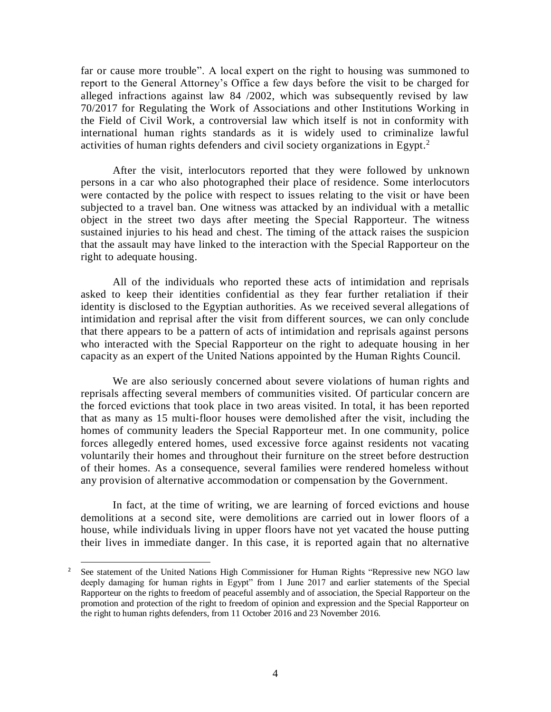far or cause more trouble". A local expert on the right to housing was summoned to report to the General Attorney's Office a few days before the visit to be charged for alleged infractions against law 84 /2002, which was subsequently revised by law 70/2017 for Regulating the Work of Associations and other Institutions Working in the Field of Civil Work, a controversial law which itself is not in conformity with international human rights standards as it is widely used to criminalize lawful activities of human rights defenders and civil society organizations in Egypt.<sup>2</sup>

After the visit, interlocutors reported that they were followed by unknown persons in a car who also photographed their place of residence. Some interlocutors were contacted by the police with respect to issues relating to the visit or have been subjected to a travel ban. One witness was attacked by an individual with a metallic object in the street two days after meeting the Special Rapporteur. The witness sustained injuries to his head and chest. The timing of the attack raises the suspicion that the assault may have linked to the interaction with the Special Rapporteur on the right to adequate housing.

All of the individuals who reported these acts of intimidation and reprisals asked to keep their identities confidential as they fear further retaliation if their identity is disclosed to the Egyptian authorities. As we received several allegations of intimidation and reprisal after the visit from different sources, we can only conclude that there appears to be a pattern of acts of intimidation and reprisals against persons who interacted with the Special Rapporteur on the right to adequate housing in her capacity as an expert of the United Nations appointed by the Human Rights Council.

We are also seriously concerned about severe violations of human rights and reprisals affecting several members of communities visited. Of particular concern are the forced evictions that took place in two areas visited. In total, it has been reported that as many as 15 multi-floor houses were demolished after the visit, including the homes of community leaders the Special Rapporteur met. In one community, police forces allegedly entered homes, used excessive force against residents not vacating voluntarily their homes and throughout their furniture on the street before destruction of their homes. As a consequence, several families were rendered homeless without any provision of alternative accommodation or compensation by the Government.

In fact, at the time of writing, we are learning of forced evictions and house demolitions at a second site, were demolitions are carried out in lower floors of a house, while individuals living in upper floors have not yet vacated the house putting their lives in immediate danger. In this case, it is reported again that no alternative

l

<sup>&</sup>lt;sup>2</sup> See statement of the United Nations High Commissioner for Human Rights "Repressive new NGO law deeply damaging for human rights in Egypt" from 1 June 2017 and earlier statements of the Special Rapporteur on the rights to freedom of peaceful assembly and of association, the Special Rapporteur on the promotion and protection of the right to freedom of opinion and expression and the Special Rapporteur on the right to human rights defenders, from 11 October 2016 and 23 November 2016.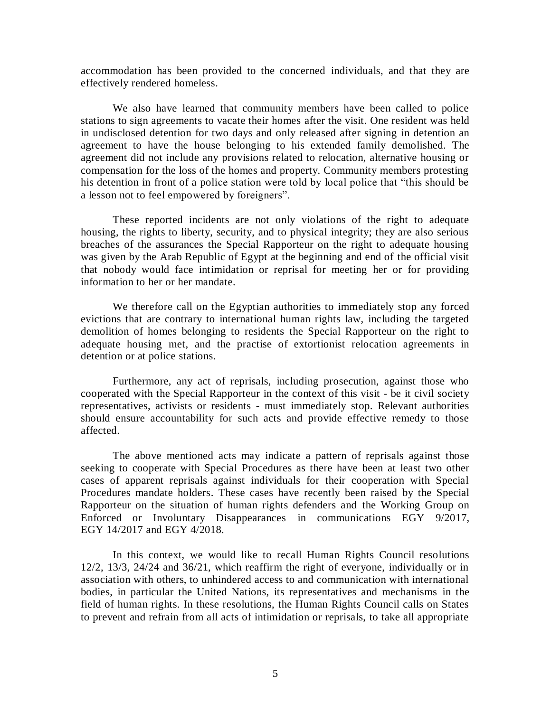accommodation has been provided to the concerned individuals, and that they are effectively rendered homeless.

We also have learned that community members have been called to police stations to sign agreements to vacate their homes after the visit. One resident was held in undisclosed detention for two days and only released after signing in detention an agreement to have the house belonging to his extended family demolished. The agreement did not include any provisions related to relocation, alternative housing or compensation for the loss of the homes and property. Community members protesting his detention in front of a police station were told by local police that "this should be a lesson not to feel empowered by foreigners".

These reported incidents are not only violations of the right to adequate housing, the rights to liberty, security, and to physical integrity; they are also serious breaches of the assurances the Special Rapporteur on the right to adequate housing was given by the Arab Republic of Egypt at the beginning and end of the official visit that nobody would face intimidation or reprisal for meeting her or for providing information to her or her mandate.

We therefore call on the Egyptian authorities to immediately stop any forced evictions that are contrary to international human rights law, including the targeted demolition of homes belonging to residents the Special Rapporteur on the right to adequate housing met, and the practise of extortionist relocation agreements in detention or at police stations.

Furthermore, any act of reprisals, including prosecution, against those who cooperated with the Special Rapporteur in the context of this visit - be it civil society representatives, activists or residents - must immediately stop. Relevant authorities should ensure accountability for such acts and provide effective remedy to those affected.

The above mentioned acts may indicate a pattern of reprisals against those seeking to cooperate with Special Procedures as there have been at least two other cases of apparent reprisals against individuals for their cooperation with Special Procedures mandate holders. These cases have recently been raised by the Special Rapporteur on the situation of human rights defenders and the Working Group on Enforced or Involuntary Disappearances in communications EGY 9/2017, EGY 14/2017 and EGY 4/2018.

In this context, we would like to recall Human Rights Council resolutions 12/2, 13/3, 24/24 and 36/21, which reaffirm the right of everyone, individually or in association with others, to unhindered access to and communication with international bodies, in particular the United Nations, its representatives and mechanisms in the field of human rights. In these resolutions, the Human Rights Council calls on States to prevent and refrain from all acts of intimidation or reprisals, to take all appropriate